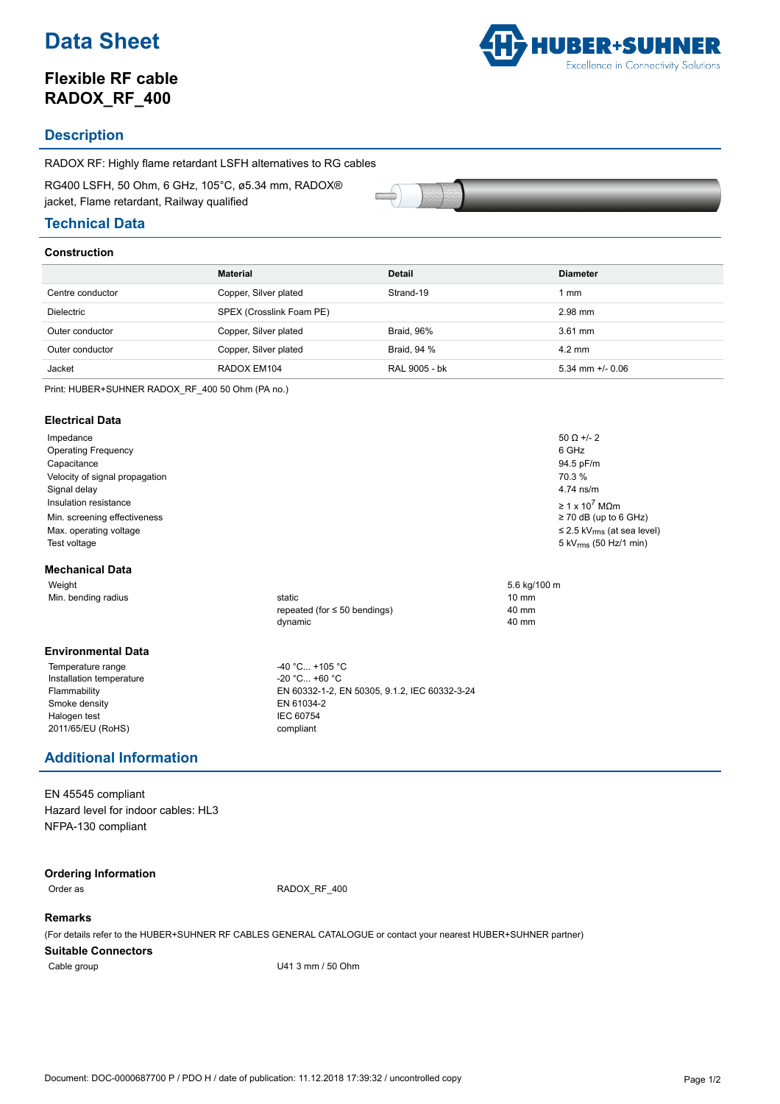# **Data Sheet**

## **Flexible RF cable RADOX\_RF\_400**



### **Description**

RADOX RF: Highly flame retardant LSFH alternatives to RG cables

RG400 LSFH, 50 Ohm, 6 GHz, 105°C, ø5.34 mm, RADOX® jacket, Flame retardant, Railway qualified

### **Technical Data**

### **Construction**

|                  | <b>Material</b>          | <b>Detail</b>     | <b>Diameter</b>      |
|------------------|--------------------------|-------------------|----------------------|
| Centre conductor | Copper, Silver plated    | Strand-19         | mm                   |
| Dielectric       | SPEX (Crosslink Foam PE) |                   | 2.98 mm              |
| Outer conductor  | Copper, Silver plated    | <b>Braid, 96%</b> | $3.61$ mm            |
| Outer conductor  | Copper, Silver plated    | Braid, 94 %       | $4.2 \text{ mm}$     |
| Jacket           | RADOX EM104              | RAL 9005 - bk     | $5.34$ mm $+/-$ 0.06 |
|                  |                          |                   |                      |

Print: HUBER+SUHNER RADOX\_RF\_400 50 Ohm (PA no.)

### **Electrical Data**

Impedance 50  $\Omega$  +/- 2 Operating Frequency 6 GHz Capacitance 94.5 pF/m Velocity of signal propagation 70.3 % Signal delay 4.74 ns/m Insulation resistance  $\geq 1 \times 10^7$  M $\Omega$ m  $\geq 1 \times 10^7$  M $\Omega$ m  $\geq 70$  dB (up to 6 GHz) Min. screening effectiveness Max. operating voltage set and the set of the set of the set of the set of the set of the set of the set of the set of the set of the set of the set of the set of the set of the set of the set of the set of the set of the Test voltage 5 kV<sub>rms</sub> (50 Hz/1 min)

#### **Mechanical Data**

Weight 5.6 kg/100 m<br>
Min. bending radius and the state of the state of the state of the state of the state of the state of the state of the state of the state of the state of the state of the state of the state of the stat Min. bending radius static 10 mm

### **Environmental Data**

Temperature range  $-40 °C... +105 °C$ <br>Installation temperature  $-20 °C... +60 °C$ Installation temperature Smoke density EN 61034-2 Halogen test **IEC 60754** 2011/65/EU (RoHS) compliant

## repeated (for ≤ 50 bendings) 40 mm dynamic 40 mm

Flammability EN 60332-1-2, EN 50305, 9.1.2, IEC 60332-3-24

### **Additional Information**

EN 45545 compliant Hazard level for indoor cables: HL3 NFPA-130 compliant

### **Ordering Information**

Order as RADOX\_RF\_400

### **Remarks**

(For details refer to the HUBER+SUHNER RF CABLES GENERAL CATALOGUE or contact your nearest HUBER+SUHNER partner)

#### **Suitable Connectors**

Cable group Cable group U41 3 mm / 50 Ohm